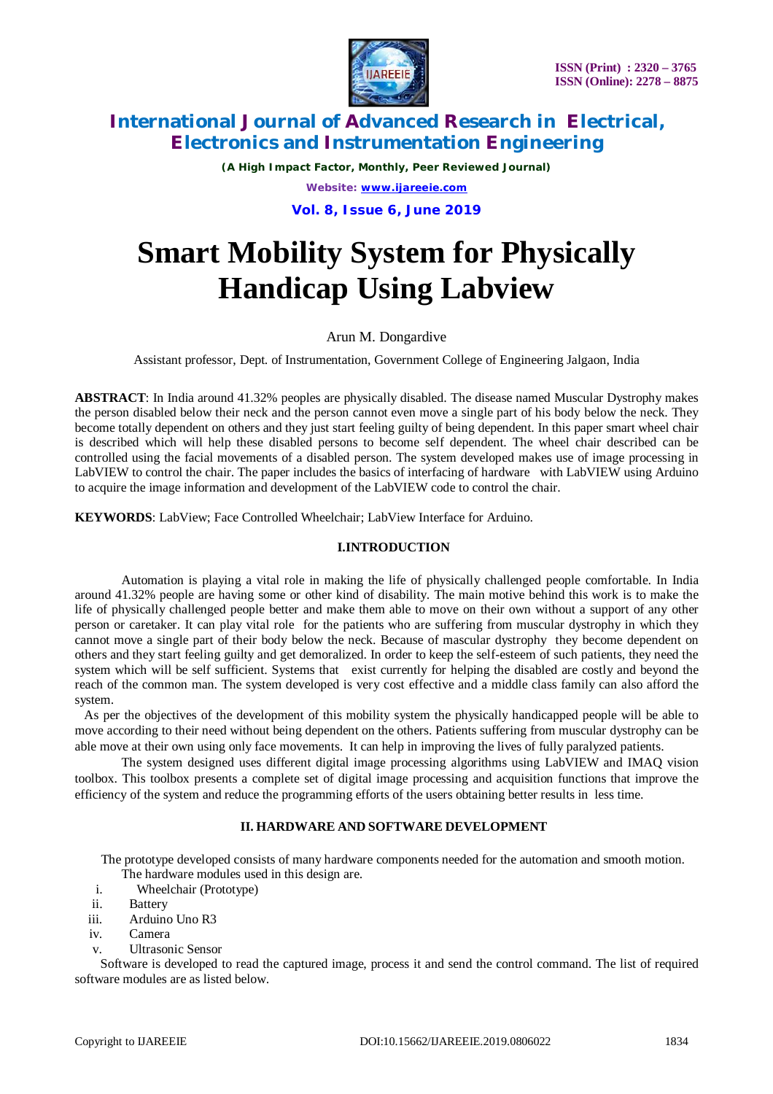

*(A High Impact Factor, Monthly, Peer Reviewed Journal) Website: [www.ijareeie.com](http://www.ijareeie.com)* **Vol. 8, Issue 6, June 2019**

# **Smart Mobility System for Physically Handicap Using Labview**

# Arun M. Dongardive

Assistant professor, Dept. of Instrumentation, Government College of Engineering Jalgaon, India

**ABSTRACT**: In India around 41.32% peoples are physically disabled. The disease named Muscular Dystrophy makes the person disabled below their neck and the person cannot even move a single part of his body below the neck. They become totally dependent on others and they just start feeling guilty of being dependent. In this paper smart wheel chair is described which will help these disabled persons to become self dependent. The wheel chair described can be controlled using the facial movements of a disabled person. The system developed makes use of image processing in LabVIEW to control the chair. The paper includes the basics of interfacing of hardware with LabVIEW using Arduino to acquire the image information and development of the LabVIEW code to control the chair.

**KEYWORDS**: LabView; Face Controlled Wheelchair; LabView Interface for Arduino.

### **I.INTRODUCTION**

Automation is playing a vital role in making the life of physically challenged people comfortable. In India around 41.32% people are having some or other kind of disability. The main motive behind this work is to make the life of physically challenged people better and make them able to move on their own without a support of any other person or caretaker. It can play vital role for the patients who are suffering from muscular dystrophy in which they cannot move a single part of their body below the neck. Because of mascular dystrophy they become dependent on others and they start feeling guilty and get demoralized. In order to keep the self-esteem of such patients, they need the system which will be self sufficient. Systems that exist currently for helping the disabled are costly and beyond the reach of the common man. The system developed is very cost effective and a middle class family can also afford the system.

 As per the objectives of the development of this mobility system the physically handicapped people will be able to move according to their need without being dependent on the others. Patients suffering from muscular dystrophy can be able move at their own using only face movements. It can help in improving the lives of fully paralyzed patients.

The system designed uses different digital image processing algorithms using LabVIEW and IMAQ vision toolbox. This toolbox presents a complete set of digital image processing and acquisition functions that improve the efficiency of the system and reduce the programming efforts of the users obtaining better results in less time.

### **II. HARDWARE AND SOFTWARE DEVELOPMENT**

 The prototype developed consists of many hardware components needed for the automation and smooth motion. The hardware modules used in this design are.

- i. Wheelchair (Prototype)
- ii. Battery
- iii. Arduino Uno R3
- iv. Camera
- v. Ultrasonic Sensor

 Software is developed to read the captured image, process it and send the control command. The list of required software modules are as listed below.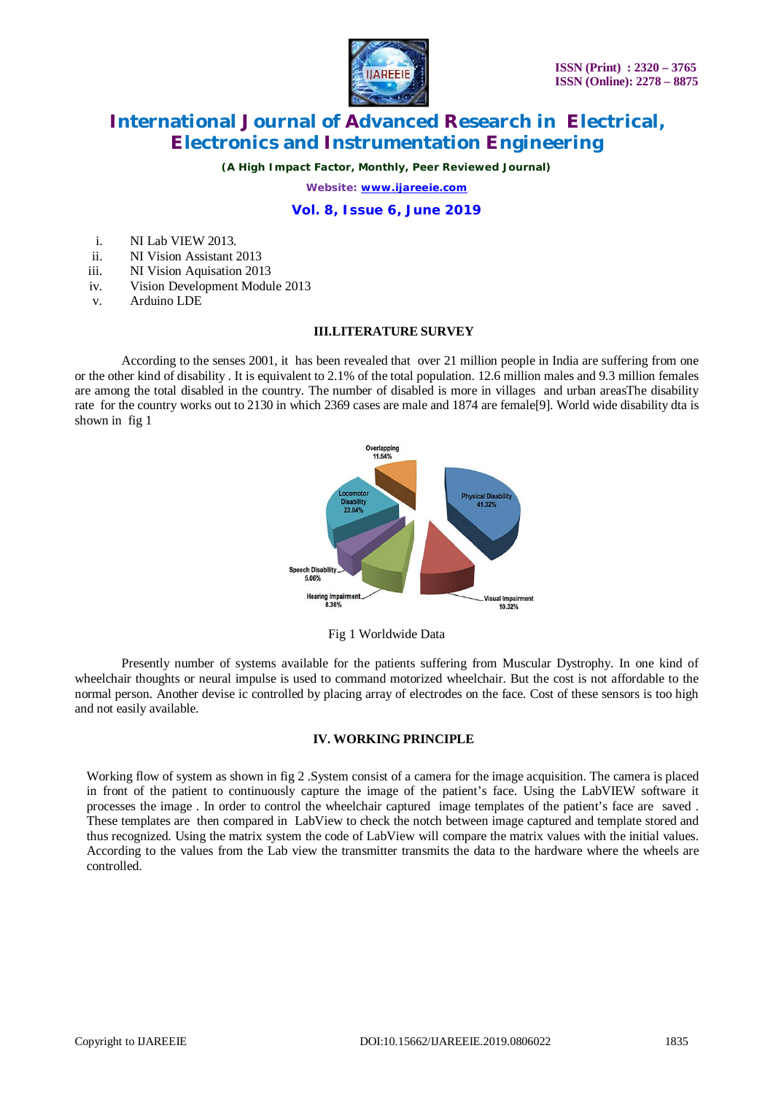

*(A High Impact Factor, Monthly, Peer Reviewed Journal)*

*Website: [www.ijareeie.com](http://www.ijareeie.com)*

### **Vol. 8, Issue 6, June 2019**

- i. NI Lab VIEW 2013.
- ii. NI Vision Assistant 2013
- iii. NI Vision Aquisation 2013
- iv. Vision Development Module 2013
- v. Arduino LDE

#### **III.LITERATURE SURVEY**

According to the senses 2001, it has been revealed that over 21 million people in India are suffering from one or the other kind of disability . It is equivalent to 2.1% of the total population. 12.6 million males and 9.3 million females are among the total disabled in the country. The number of disabled is more in villages and urban areasThe disability rate for the country works out to 2130 in which 2369 cases are male and 1874 are female[9]. World wide disability dta is shown in fig 1



Fig 1 Worldwide Data

Presently number of systems available for the patients suffering from Muscular Dystrophy. In one kind of wheelchair thoughts or neural impulse is used to command motorized wheelchair. But the cost is not affordable to the normal person. Another devise ic controlled by placing array of electrodes on the face. Cost of these sensors is too high and not easily available.

### **IV. WORKING PRINCIPLE**

Working flow of system as shown in fig 2. System consist of a camera for the image acquisition. The camera is placed in front of the patient to continuously capture the image of the patient's face. Using the LabVIEW software it processes the image . In order to control the wheelchair captured image templates of the patient's face are saved . These templates are then compared in LabView to check the notch between image captured and template stored and thus recognized. Using the matrix system the code of LabView will compare the matrix values with the initial values. According to the values from the Lab view the transmitter transmits the data to the hardware where the wheels are controlled.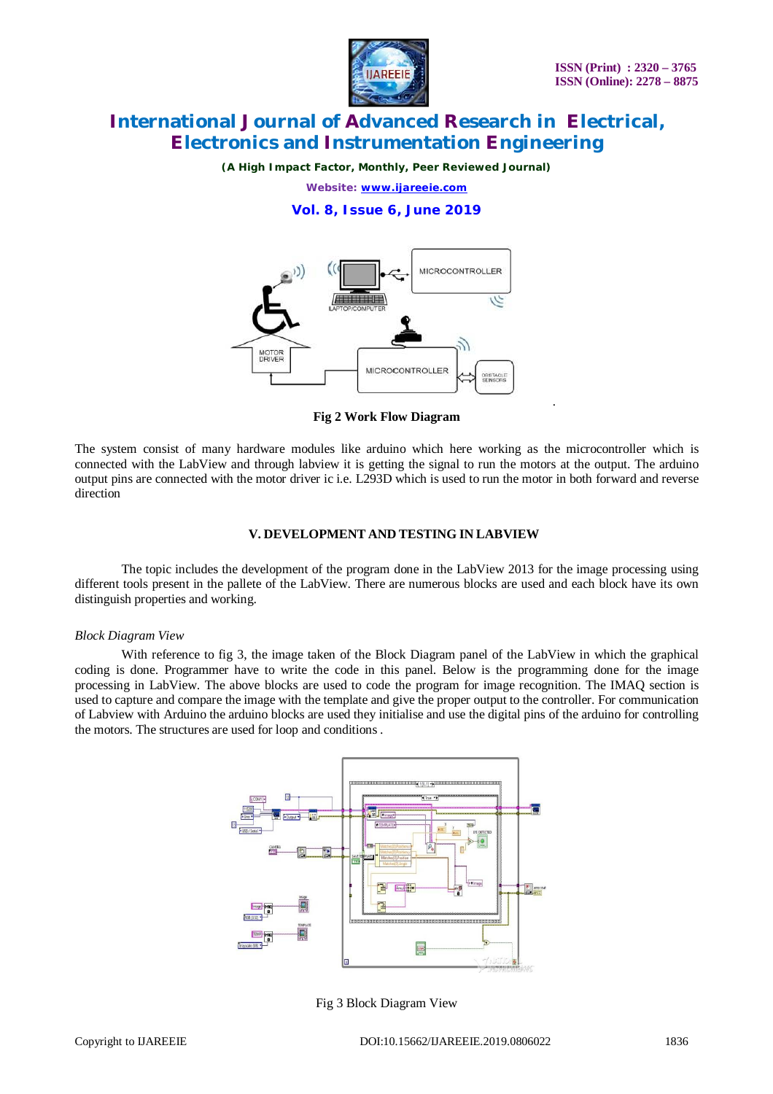

*.*

# **International Journal of Advanced Research in Electrical, Electronics and Instrumentation Engineering**

*(A High Impact Factor, Monthly, Peer Reviewed Journal)*

*Website: [www.ijareeie.com](http://www.ijareeie.com)*

**Vol. 8, Issue 6, June 2019**



**Fig 2 Work Flow Diagram**

The system consist of many hardware modules like arduino which here working as the microcontroller which is connected with the LabView and through labview it is getting the signal to run the motors at the output. The arduino output pins are connected with the motor driver ic i.e. L293D which is used to run the motor in both forward and reverse direction

#### **V. DEVELOPMENT AND TESTING IN LABVIEW**

The topic includes the development of the program done in the LabView 2013 for the image processing using different tools present in the pallete of the LabView. There are numerous blocks are used and each block have its own distinguish properties and working.

#### *Block Diagram View*

With reference to fig 3, the image taken of the Block Diagram panel of the LabView in which the graphical coding is done. Programmer have to write the code in this panel. Below is the programming done for the image processing in LabView. The above blocks are used to code the program for image recognition. The IMAQ section is used to capture and compare the image with the template and give the proper output to the controller. For communication of Labview with Arduino the arduino blocks are used they initialise and use the digital pins of the arduino for controlling the motors. The structures are used for loop and conditions .



Fig 3 Block Diagram View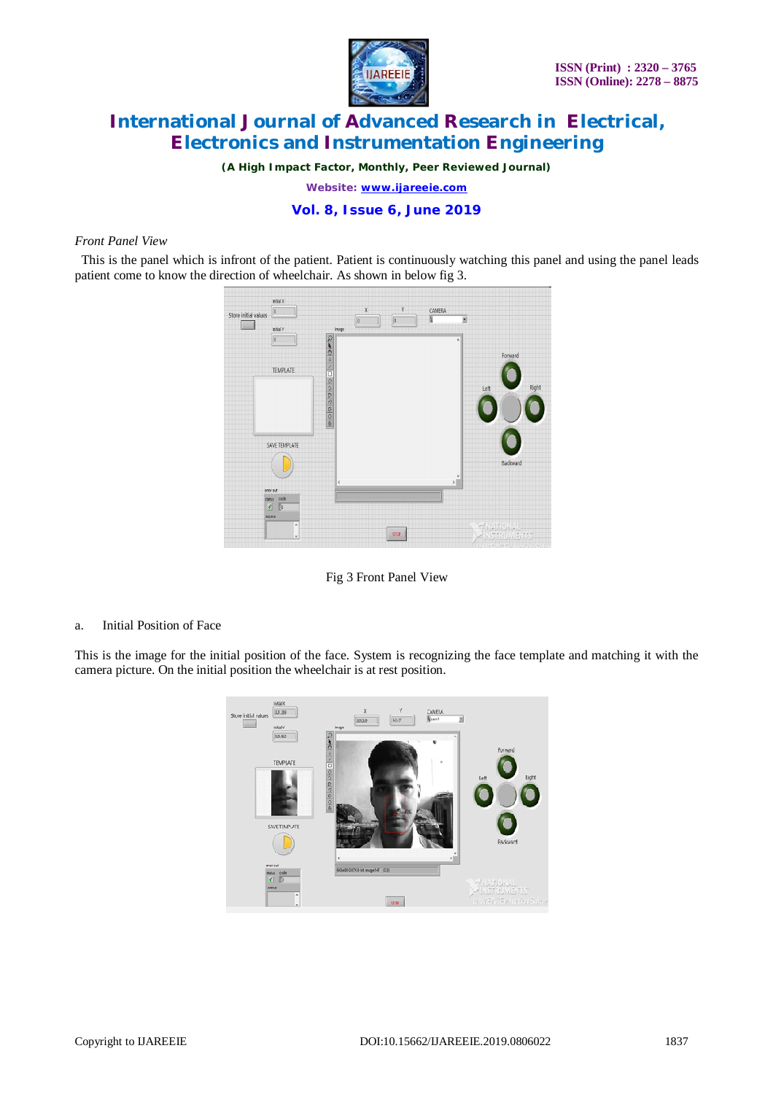

*(A High Impact Factor, Monthly, Peer Reviewed Journal)*

*Website: [www.ijareeie.com](http://www.ijareeie.com)*

### **Vol. 8, Issue 6, June 2019**

#### *Front Panel View*

This is the panel which is infront of the patient. Patient is continuously watching this panel and using the panel leads patient come to know the direction of wheelchair. As shown in below fig 3.



Fig 3 Front Panel View

a. Initial Position of Face

This is the image for the initial position of the face. System is recognizing the face template and matching it with the camera picture. On the initial position the wheelchair is at rest position.

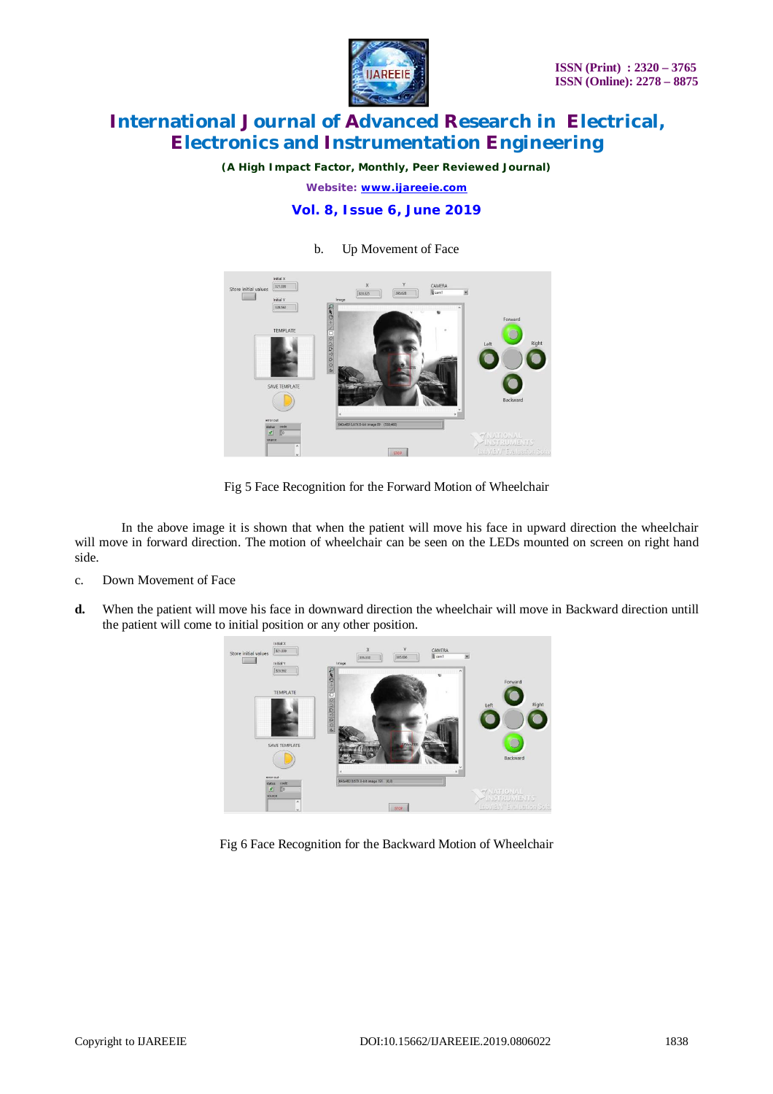

*(A High Impact Factor, Monthly, Peer Reviewed Journal)*

*Website: [www.ijareeie.com](http://www.ijareeie.com)*

### **Vol. 8, Issue 6, June 2019**



### b. Up Movement of Face

Fig 5 Face Recognition for the Forward Motion of Wheelchair

In the above image it is shown that when the patient will move his face in upward direction the wheelchair will move in forward direction. The motion of wheelchair can be seen on the LEDs mounted on screen on right hand side.

- c. Down Movement of Face
- **d.** When the patient will move his face in downward direction the wheelchair will move in Backward direction untill the patient will come to initial position or any other position.



Fig 6 Face Recognition for the Backward Motion of Wheelchair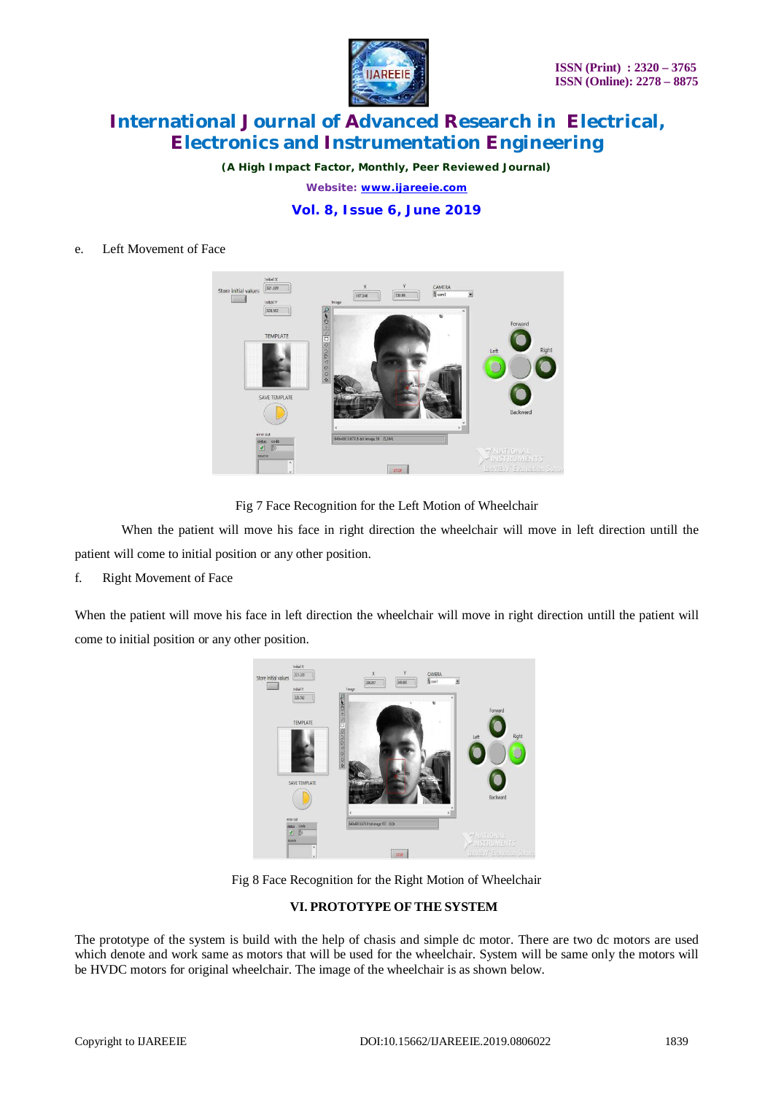

*(A High Impact Factor, Monthly, Peer Reviewed Journal) Website: [www.ijareeie.com](http://www.ijareeie.com)* **Vol. 8, Issue 6, June 2019**

### e. Left Movement of Face



Fig 7 Face Recognition for the Left Motion of Wheelchair

When the patient will move his face in right direction the wheelchair will move in left direction untill the patient will come to initial position or any other position.

f. Right Movement of Face

When the patient will move his face in left direction the wheelchair will move in right direction untill the patient will come to initial position or any other position.



Fig 8 Face Recognition for the Right Motion of Wheelchair

## **VI. PROTOTYPE OF THE SYSTEM**

The prototype of the system is build with the help of chasis and simple dc motor. There are two dc motors are used which denote and work same as motors that will be used for the wheelchair. System will be same only the motors will be HVDC motors for original wheelchair. The image of the wheelchair is as shown below.